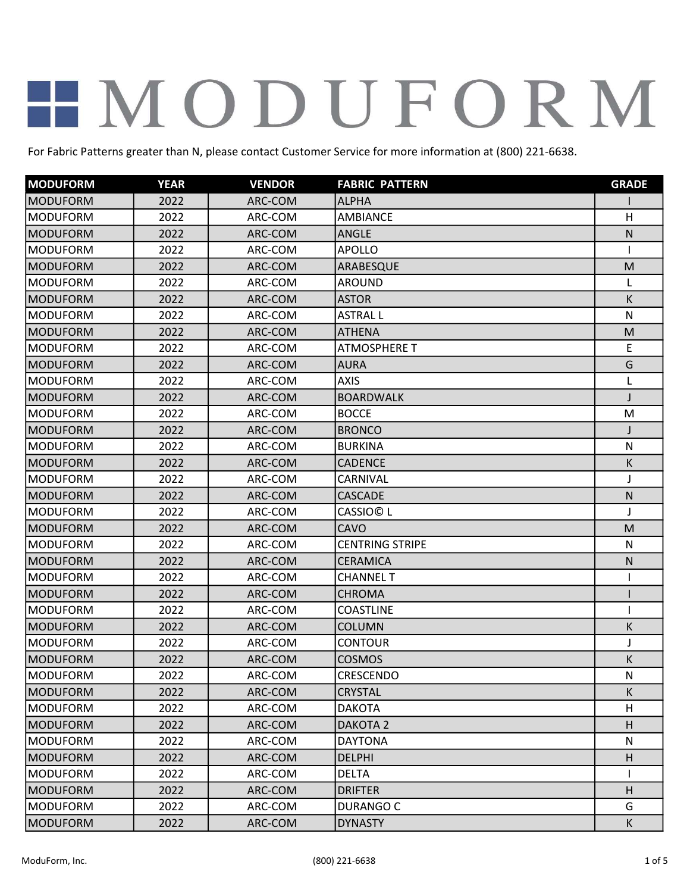| <b>MODUFORM</b> | <b>YEAR</b> | <b>VENDOR</b> | <b>FABRIC PATTERN</b>  | <b>GRADE</b> |
|-----------------|-------------|---------------|------------------------|--------------|
| <b>MODUFORM</b> | 2022        | ARC-COM       | <b>ALPHA</b>           |              |
| <b>MODUFORM</b> | 2022        | ARC-COM       | <b>AMBIANCE</b>        | H            |
| <b>MODUFORM</b> | 2022        | ARC-COM       | <b>ANGLE</b>           | $\mathsf{N}$ |
| <b>MODUFORM</b> | 2022        | ARC-COM       | <b>APOLLO</b>          |              |
| <b>MODUFORM</b> | 2022        | ARC-COM       | ARABESQUE              | M            |
| <b>MODUFORM</b> | 2022        | ARC-COM       | <b>AROUND</b>          | L            |
| <b>MODUFORM</b> | 2022        | ARC-COM       | <b>ASTOR</b>           | К            |
| <b>MODUFORM</b> | 2022        | ARC-COM       | <b>ASTRAL L</b>        | $\mathsf{N}$ |
| <b>MODUFORM</b> | 2022        | ARC-COM       | <b>ATHENA</b>          | M            |
| <b>MODUFORM</b> | 2022        | ARC-COM       | <b>ATMOSPHERE T</b>    | E            |
| <b>MODUFORM</b> | 2022        | ARC-COM       | <b>AURA</b>            | G            |
| <b>MODUFORM</b> | 2022        | ARC-COM       | <b>AXIS</b>            | L            |
| <b>MODUFORM</b> | 2022        | ARC-COM       | <b>BOARDWALK</b>       | J            |
| <b>MODUFORM</b> | 2022        | ARC-COM       | <b>BOCCE</b>           | M            |
| <b>MODUFORM</b> | 2022        | ARC-COM       | <b>BRONCO</b>          |              |
| <b>MODUFORM</b> | 2022        | ARC-COM       | <b>BURKINA</b>         | ${\sf N}$    |
| <b>MODUFORM</b> | 2022        | ARC-COM       | <b>CADENCE</b>         | K            |
| <b>MODUFORM</b> | 2022        | ARC-COM       | CARNIVAL               | J            |
| <b>MODUFORM</b> | 2022        | ARC-COM       | <b>CASCADE</b>         | $\mathsf{N}$ |
| <b>MODUFORM</b> | 2022        | ARC-COM       | <b>CASSIO© L</b>       | J            |
| <b>MODUFORM</b> | 2022        | ARC-COM       | CAVO                   | M            |
| <b>MODUFORM</b> | 2022        | ARC-COM       | <b>CENTRING STRIPE</b> | N            |
| <b>MODUFORM</b> | 2022        | ARC-COM       | <b>CERAMICA</b>        | N            |
| <b>MODUFORM</b> | 2022        | ARC-COM       | <b>CHANNEL T</b>       |              |
| <b>MODUFORM</b> | 2022        | ARC-COM       | <b>CHROMA</b>          |              |
| <b>MODUFORM</b> | 2022        | ARC-COM       | <b>COASTLINE</b>       | 1            |
| <b>MODUFORM</b> | 2022        | ARC-COM       | <b>COLUMN</b>          | К            |
| <b>MODUFORM</b> | 2022        | ARC-COM       | <b>CONTOUR</b>         | J            |
| <b>MODUFORM</b> | 2022        | ARC-COM       | <b>COSMOS</b>          | Κ            |
| MODUFORM        | 2022        | ARC-COM       | CRESCENDO              | N            |
| MODUFORM        | 2022        | ARC-COM       | <b>CRYSTAL</b>         | К            |
| <b>MODUFORM</b> | 2022        | ARC-COM       | <b>DAKOTA</b>          | H            |
| MODUFORM        | 2022        | ARC-COM       | DAKOTA <sub>2</sub>    | H            |
| <b>MODUFORM</b> | 2022        | ARC-COM       | <b>DAYTONA</b>         | ${\sf N}$    |
| <b>MODUFORM</b> | 2022        | ARC-COM       | <b>DELPHI</b>          | H            |
| <b>MODUFORM</b> | 2022        | ARC-COM       | <b>DELTA</b>           |              |
| <b>MODUFORM</b> | 2022        | ARC-COM       | <b>DRIFTER</b>         | H            |
| <b>MODUFORM</b> | 2022        | ARC-COM       | DURANGO C              | G            |
| <b>MODUFORM</b> | 2022        | ARC-COM       | <b>DYNASTY</b>         | K            |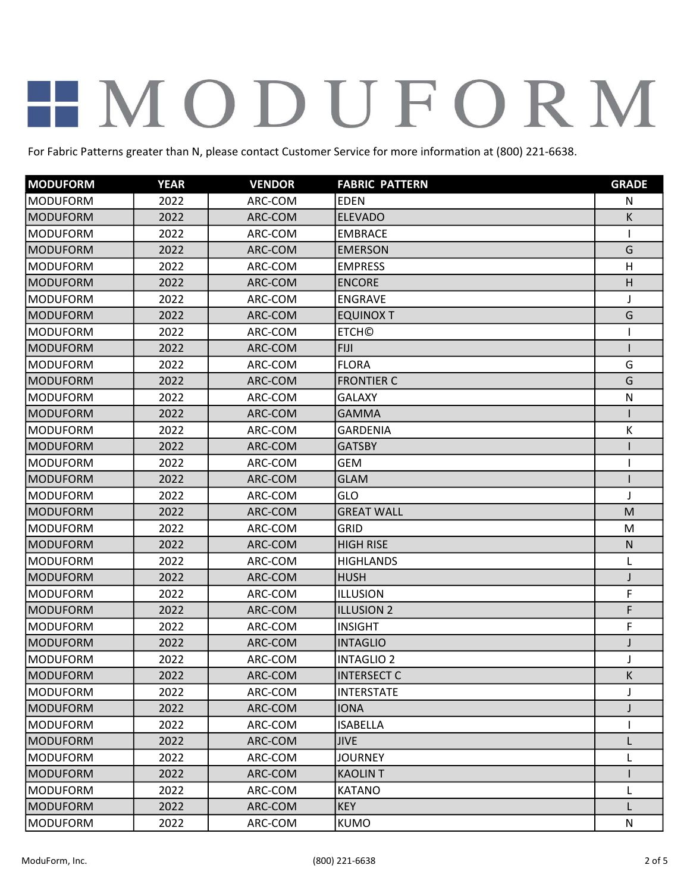| <b>MODUFORM</b> | <b>YEAR</b> | <b>VENDOR</b> | <b>FABRIC PATTERN</b> | <b>GRADE</b> |
|-----------------|-------------|---------------|-----------------------|--------------|
| <b>MODUFORM</b> | 2022        | ARC-COM       | <b>EDEN</b>           | N            |
| <b>MODUFORM</b> | 2022        | ARC-COM       | <b>ELEVADO</b>        | К            |
| <b>MODUFORM</b> | 2022        | ARC-COM       | <b>EMBRACE</b>        |              |
| <b>MODUFORM</b> | 2022        | ARC-COM       | <b>EMERSON</b>        | G            |
| <b>MODUFORM</b> | 2022        | ARC-COM       | <b>EMPRESS</b>        | H            |
| <b>MODUFORM</b> | 2022        | ARC-COM       | <b>ENCORE</b>         | H            |
| <b>MODUFORM</b> | 2022        | ARC-COM       | <b>ENGRAVE</b>        | J            |
| <b>MODUFORM</b> | 2022        | ARC-COM       | <b>EQUINOX T</b>      | G            |
| <b>MODUFORM</b> | 2022        | ARC-COM       | <b>ETCH©</b>          |              |
| <b>MODUFORM</b> | 2022        | ARC-COM       | <b>FIJI</b>           |              |
| <b>MODUFORM</b> | 2022        | ARC-COM       | <b>FLORA</b>          | G            |
| <b>MODUFORM</b> | 2022        | ARC-COM       | <b>FRONTIER C</b>     | G            |
| <b>MODUFORM</b> | 2022        | ARC-COM       | <b>GALAXY</b>         | $\mathsf{N}$ |
| MODUFORM        | 2022        | ARC-COM       | <b>GAMMA</b>          |              |
| <b>MODUFORM</b> | 2022        | ARC-COM       | <b>GARDENIA</b>       | К            |
| <b>MODUFORM</b> | 2022        | ARC-COM       | <b>GATSBY</b>         |              |
| <b>MODUFORM</b> | 2022        | ARC-COM       | <b>GEM</b>            |              |
| <b>MODUFORM</b> | 2022        | ARC-COM       | <b>GLAM</b>           |              |
| <b>MODUFORM</b> | 2022        | ARC-COM       | GLO                   | J            |
| <b>MODUFORM</b> | 2022        | ARC-COM       | <b>GREAT WALL</b>     | M            |
| <b>MODUFORM</b> | 2022        | ARC-COM       | <b>GRID</b>           | M            |
| <b>MODUFORM</b> | 2022        | ARC-COM       | <b>HIGH RISE</b>      | $\mathsf{N}$ |
| <b>MODUFORM</b> | 2022        | ARC-COM       | <b>HIGHLANDS</b>      | L            |
| <b>MODUFORM</b> | 2022        | ARC-COM       | <b>HUSH</b>           | J            |
| <b>MODUFORM</b> | 2022        | ARC-COM       | <b>ILLUSION</b>       | F            |
| <b>MODUFORM</b> | 2022        | ARC-COM       | <b>ILLUSION 2</b>     | F            |
| <b>MODUFORM</b> | 2022        | ARC-COM       | <b>INSIGHT</b>        | F            |
| <b>MODUFORM</b> | 2022        | ARC-COM       | <b>INTAGLIO</b>       |              |
| <b>MODUFORM</b> | 2022        | ARC-COM       | <b>INTAGLIO 2</b>     |              |
| MODUFORM        | 2022        | ARC-COM       | <b>INTERSECT C</b>    | K            |
| <b>MODUFORM</b> | 2022        | ARC-COM       | <b>INTERSTATE</b>     | J            |
| <b>MODUFORM</b> | 2022        | ARC-COM       | <b>IONA</b>           |              |
| <b>MODUFORM</b> | 2022        | ARC-COM       | <b>ISABELLA</b>       |              |
| <b>MODUFORM</b> | 2022        | ARC-COM       | <b>JIVE</b>           |              |
| <b>MODUFORM</b> | 2022        | ARC-COM       | <b>JOURNEY</b>        |              |
| <b>MODUFORM</b> | 2022        | ARC-COM       | <b>KAOLINT</b>        |              |
| <b>MODUFORM</b> | 2022        | ARC-COM       | <b>KATANO</b>         | L            |
| MODUFORM        | 2022        | ARC-COM       | <b>KEY</b>            | L            |
| <b>MODUFORM</b> | 2022        | ARC-COM       | <b>KUMO</b>           | ${\sf N}$    |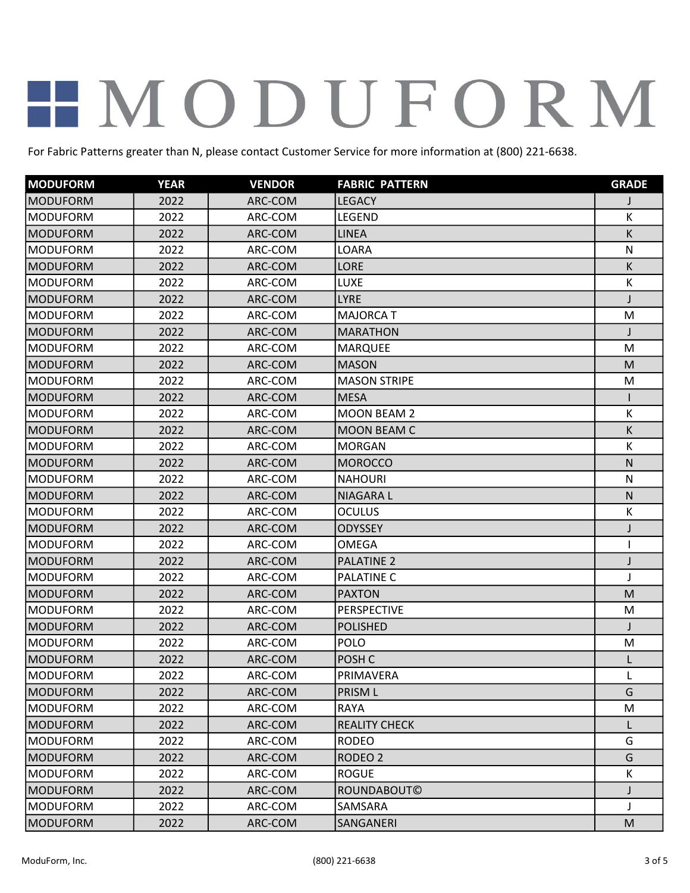| <b>MODUFORM</b>  | <b>YEAR</b> | <b>VENDOR</b> | <b>FABRIC PATTERN</b> | <b>GRADE</b> |
|------------------|-------------|---------------|-----------------------|--------------|
| <b>MODUFORM</b>  | 2022        | ARC-COM       | <b>LEGACY</b>         |              |
| <b>MODUFORM</b>  | 2022        | ARC-COM       | LEGEND                | К            |
| <b>MODUFORM</b>  | 2022        | ARC-COM       | <b>LINEA</b>          | K            |
| <b>MODUFORM</b>  | 2022        | ARC-COM       | LOARA                 | N            |
| MODUFORM         | 2022        | ARC-COM       | LORE                  | К            |
| <b>MODUFORM</b>  | 2022        | ARC-COM       | LUXE                  | К            |
| <b>MODUFORM</b>  | 2022        | ARC-COM       | <b>LYRE</b>           |              |
| <b>MODUFORM</b>  | 2022        | ARC-COM       | <b>MAJORCA T</b>      | M            |
| <b>MODUFORM</b>  | 2022        | ARC-COM       | <b>MARATHON</b>       |              |
| <b>MODUFORM</b>  | 2022        | ARC-COM       | <b>MARQUEE</b>        | M            |
| <b>MODUFORM</b>  | 2022        | ARC-COM       | <b>MASON</b>          | M            |
| <b>MODUFORM</b>  | 2022        | ARC-COM       | <b>MASON STRIPE</b>   | M            |
| <b>MODUFORM</b>  | 2022        | ARC-COM       | <b>MESA</b>           |              |
| <b>MODUFORM</b>  | 2022        | ARC-COM       | <b>MOON BEAM 2</b>    | К            |
| <b>MODUFORM</b>  | 2022        | ARC-COM       | <b>MOON BEAM C</b>    | K            |
| <b>MODUFORM</b>  | 2022        | ARC-COM       | <b>MORGAN</b>         | К            |
| <b>MODUFORM</b>  | 2022        | ARC-COM       | <b>MOROCCO</b>        | $\mathsf{N}$ |
| <b>MODUFORM</b>  | 2022        | ARC-COM       | <b>NAHOURI</b>        | N            |
| MODUFORM         | 2022        | ARC-COM       | <b>NIAGARAL</b>       | $\mathsf{N}$ |
| <b>MODUFORM</b>  | 2022        | ARC-COM       | <b>OCULUS</b>         | К            |
| <b>MODUFORM</b>  | 2022        | ARC-COM       | <b>ODYSSEY</b>        | J            |
| <b>MODUFORM</b>  | 2022        | ARC-COM       | <b>OMEGA</b>          | 1            |
| <b>IMODUFORM</b> | 2022        | ARC-COM       | <b>PALATINE 2</b>     | J            |
| <b>MODUFORM</b>  | 2022        | ARC-COM       | <b>PALATINE C</b>     | J            |
| <b>MODUFORM</b>  | 2022        | ARC-COM       | <b>PAXTON</b>         | M            |
| <b>MODUFORM</b>  | 2022        | ARC-COM       | <b>PERSPECTIVE</b>    | M            |
| <b>MODUFORM</b>  | 2022        | ARC-COM       | <b>POLISHED</b>       | $\mathbf{I}$ |
| <b>MODUFORM</b>  | 2022        | ARC-COM       | <b>POLO</b>           | M            |
| <b>MODUFORM</b>  | 2022        | ARC-COM       | POSH <sub>C</sub>     |              |
| <b>MODUFORM</b>  | 2022        | ARC-COM       | PRIMAVERA             |              |
| MODUFORM         | 2022        | ARC-COM       | PRISM L               | G            |
| <b>MODUFORM</b>  | 2022        | ARC-COM       | <b>RAYA</b>           | M            |
| MODUFORM         | 2022        | ARC-COM       | <b>REALITY CHECK</b>  | L            |
| <b>MODUFORM</b>  | 2022        | ARC-COM       | <b>RODEO</b>          | G            |
| <b>MODUFORM</b>  | 2022        | ARC-COM       | RODEO <sub>2</sub>    | G            |
| <b>MODUFORM</b>  | 2022        | ARC-COM       | <b>ROGUE</b>          | К            |
| <b>MODUFORM</b>  | 2022        | ARC-COM       | ROUNDABOUT©           | J            |
| <b>MODUFORM</b>  | 2022        | ARC-COM       | SAMSARA               | J            |
| MODUFORM         | 2022        | ARC-COM       | SANGANERI             | ${\sf M}$    |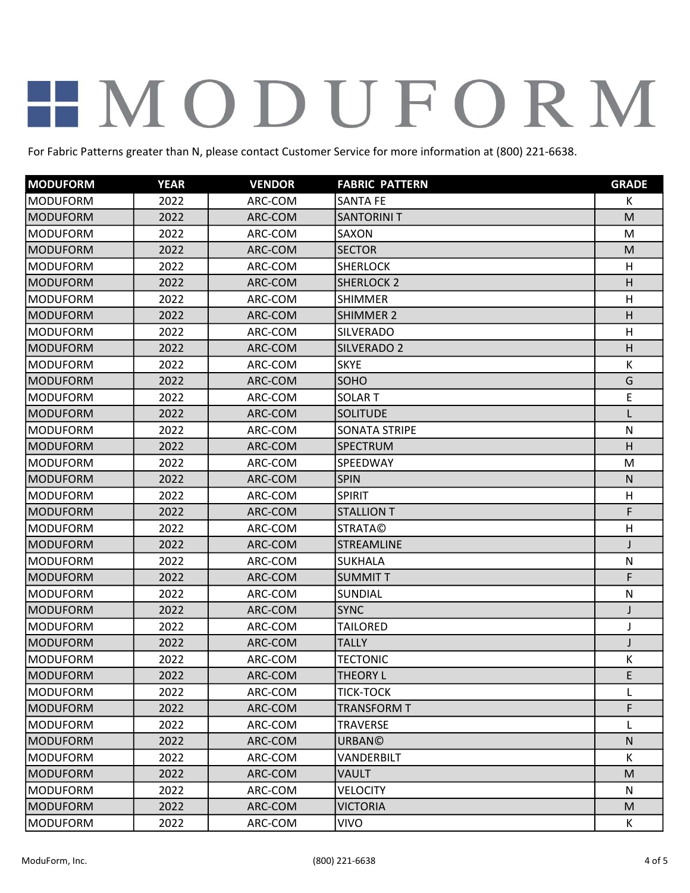| <b>MODUFORM</b> | <b>YEAR</b> | <b>VENDOR</b> | <b>FABRIC PATTERN</b> | <b>GRADE</b> |
|-----------------|-------------|---------------|-----------------------|--------------|
| <b>MODUFORM</b> | 2022        | ARC-COM       | <b>SANTA FE</b>       | К            |
| <b>MODUFORM</b> | 2022        | ARC-COM       | <b>SANTORINI T</b>    | M            |
| <b>MODUFORM</b> | 2022        | ARC-COM       | SAXON                 | M            |
| <b>MODUFORM</b> | 2022        | ARC-COM       | <b>SECTOR</b>         | M            |
| <b>MODUFORM</b> | 2022        | ARC-COM       | <b>SHERLOCK</b>       | H            |
| <b>MODUFORM</b> | 2022        | ARC-COM       | <b>SHERLOCK 2</b>     | H            |
| <b>MODUFORM</b> | 2022        | ARC-COM       | <b>SHIMMER</b>        | H            |
| <b>MODUFORM</b> | 2022        | ARC-COM       | <b>SHIMMER 2</b>      | H            |
| <b>MODUFORM</b> | 2022        | ARC-COM       | <b>SILVERADO</b>      | H            |
| <b>MODUFORM</b> | 2022        | ARC-COM       | SILVERADO 2           | H            |
| <b>MODUFORM</b> | 2022        | ARC-COM       | <b>SKYE</b>           | К            |
| <b>MODUFORM</b> | 2022        | ARC-COM       | SOHO                  | G            |
| <b>MODUFORM</b> | 2022        | ARC-COM       | <b>SOLART</b>         | E            |
| MODUFORM        | 2022        | ARC-COM       | <b>SOLITUDE</b>       | L            |
| <b>MODUFORM</b> | 2022        | ARC-COM       | SONATA STRIPE         | N            |
| <b>MODUFORM</b> | 2022        | ARC-COM       | SPECTRUM              | H            |
| <b>MODUFORM</b> | 2022        | ARC-COM       | SPEEDWAY              | M            |
| <b>MODUFORM</b> | 2022        | ARC-COM       | <b>SPIN</b>           | $\mathsf{N}$ |
| <b>MODUFORM</b> | 2022        | ARC-COM       | <b>SPIRIT</b>         | H            |
| <b>MODUFORM</b> | 2022        | ARC-COM       | <b>STALLION T</b>     | F            |
| <b>MODUFORM</b> | 2022        | ARC-COM       | <b>STRATA©</b>        | H            |
| <b>MODUFORM</b> | 2022        | ARC-COM       | <b>STREAMLINE</b>     | $\mathbf{I}$ |
| <b>MODUFORM</b> | 2022        | ARC-COM       | <b>SUKHALA</b>        | ${\sf N}$    |
| <b>MODUFORM</b> | 2022        | ARC-COM       | <b>SUMMITT</b>        | F            |
| <b>MODUFORM</b> | 2022        | ARC-COM       | <b>SUNDIAL</b>        | ${\sf N}$    |
| <b>MODUFORM</b> | 2022        | ARC-COM       | <b>SYNC</b>           | J            |
| <b>MODUFORM</b> | 2022        | ARC-COM       | <b>TAILORED</b>       | J            |
| <b>MODUFORM</b> | 2022        | ARC-COM       | <b>TALLY</b>          | J            |
| <b>MODUFORM</b> | 2022        | ARC-COM       | <b>TECTONIC</b>       | Κ            |
| MODUFORM        | 2022        | ARC-COM       | THEORY L              | E            |
| <b>MODUFORM</b> | 2022        | ARC-COM       | <b>TICK-TOCK</b>      | L            |
| MODUFORM        | 2022        | ARC-COM       | TRANSFORM T           | F            |
| <b>MODUFORM</b> | 2022        | ARC-COM       | <b>TRAVERSE</b>       | L            |
| MODUFORM        | 2022        | ARC-COM       | <b>URBAN©</b>         | $\mathsf{N}$ |
| <b>MODUFORM</b> | 2022        | ARC-COM       | VANDERBILT            | К            |
| <b>MODUFORM</b> | 2022        | ARC-COM       | VAULT                 | M            |
| <b>MODUFORM</b> | 2022        | ARC-COM       | <b>VELOCITY</b>       | N            |
| MODUFORM        | 2022        | ARC-COM       | <b>VICTORIA</b>       | M            |
| <b>MODUFORM</b> | 2022        | ARC-COM       | <b>VIVO</b>           | K            |